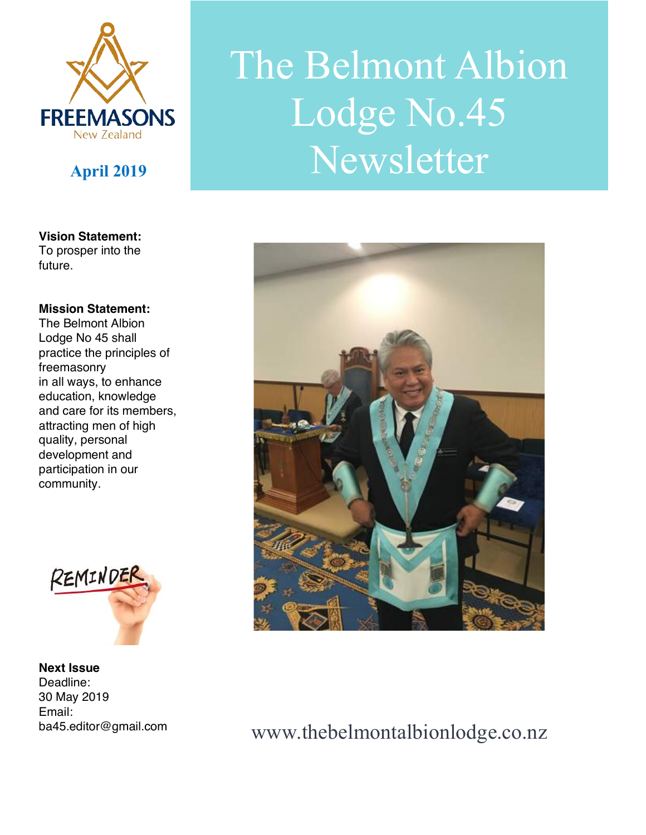

#### **Vision Statement:**

To prosper into the future.

#### **Mission Statement:**

The Belmont Albion Lodge No 45 shall practice the principles of freemasonry in all ways, to enhance education, knowledge and care for its members, attracting men of high quality, personal development and participation in our community.



**Next Issue**  Deadline: 30 May 2019 Email: ba45.editor@gmail.com

# The Belmont Albion Lodge No.45 **April <sup>2019</sup>** Newsletter



## www.thebelmontalbionlodge.co.nz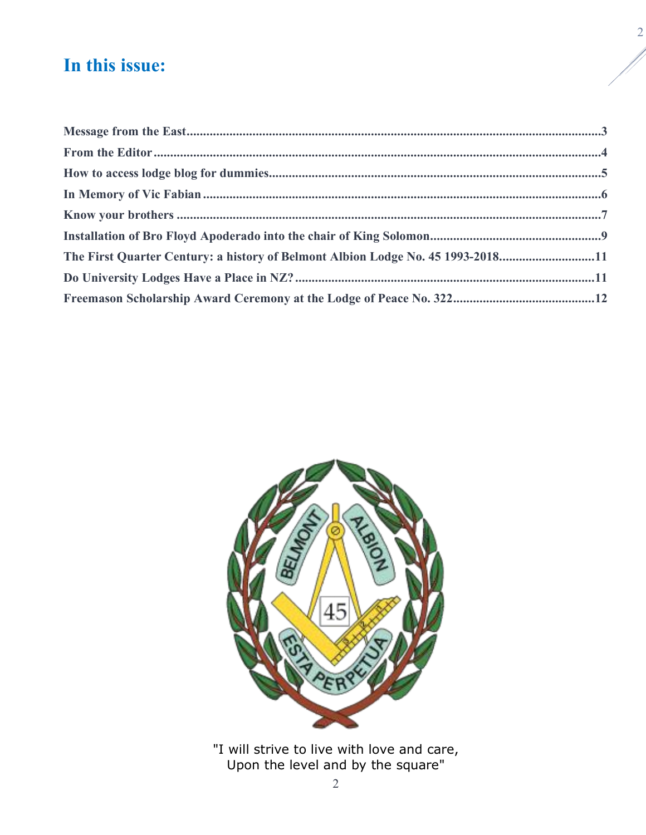## **In this issue:**

| The First Quarter Century: a history of Belmont Albion Lodge No. 45 1993-201811 |  |
|---------------------------------------------------------------------------------|--|
|                                                                                 |  |
|                                                                                 |  |
|                                                                                 |  |



"I will strive to live with love and care, Upon the level and by the square"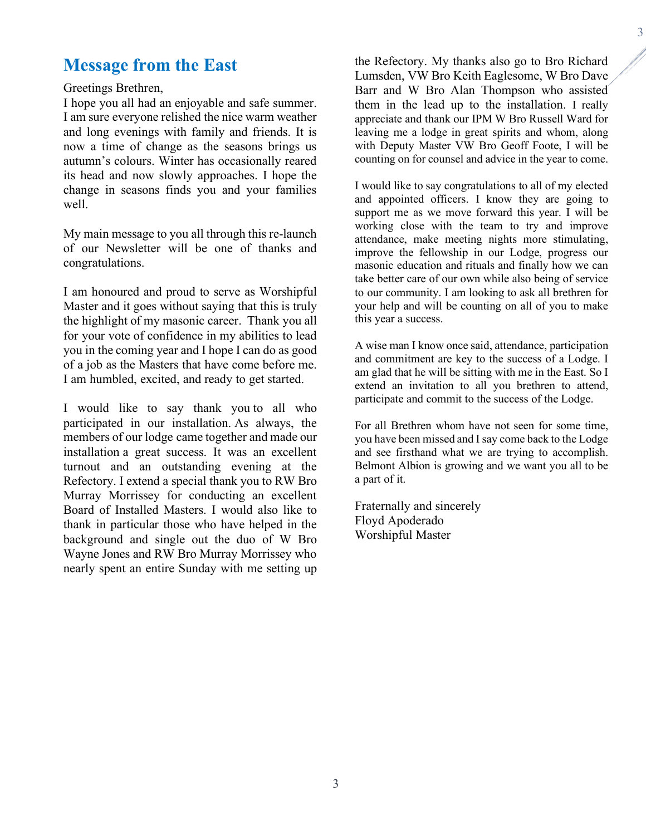## **Message from the East**

#### Greetings Brethren,

I hope you all had an enjoyable and safe summer. I am sure everyone relished the nice warm weather and long evenings with family and friends. It is now a time of change as the seasons brings us autumn's colours. Winter has occasionally reared its head and now slowly approaches. I hope the change in seasons finds you and your families well.

My main message to you all through this re-launch of our Newsletter will be one of thanks and congratulations.

I am honoured and proud to serve as Worshipful Master and it goes without saying that this is truly the highlight of my masonic career. Thank you all for your vote of confidence in my abilities to lead you in the coming year and I hope I can do as good of a job as the Masters that have come before me. I am humbled, excited, and ready to get started.

I would like to say thank you to all who participated in our installation. As always, the members of our lodge came together and made our installation a great success. It was an excellent turnout and an outstanding evening at the Refectory. I extend a special thank you to RW Bro Murray Morrissey for conducting an excellent Board of Installed Masters. I would also like to thank in particular those who have helped in the background and single out the duo of W Bro Wayne Jones and RW Bro Murray Morrissey who nearly spent an entire Sunday with me setting up the Refectory. My thanks also go to Bro Richard Lumsden, VW Bro Keith Eaglesome, W Bro Dave Barr and W Bro Alan Thompson who assisted them in the lead up to the installation. I really appreciate and thank our IPM W Bro Russell Ward for leaving me a lodge in great spirits and whom, along with Deputy Master VW Bro Geoff Foote, I will be counting on for counsel and advice in the year to come.

3

I would like to say congratulations to all of my elected and appointed officers. I know they are going to support me as we move forward this year. I will be working close with the team to try and improve attendance, make meeting nights more stimulating, improve the fellowship in our Lodge, progress our masonic education and rituals and finally how we can take better care of our own while also being of service to our community. I am looking to ask all brethren for your help and will be counting on all of you to make this year a success.

A wise man I know once said, attendance, participation and commitment are key to the success of a Lodge. I am glad that he will be sitting with me in the East. So I extend an invitation to all you brethren to attend, participate and commit to the success of the Lodge.

For all Brethren whom have not seen for some time, you have been missed and I say come back to the Lodge and see firsthand what we are trying to accomplish. Belmont Albion is growing and we want you all to be a part of it.

Fraternally and sincerely Floyd Apoderado Worshipful Master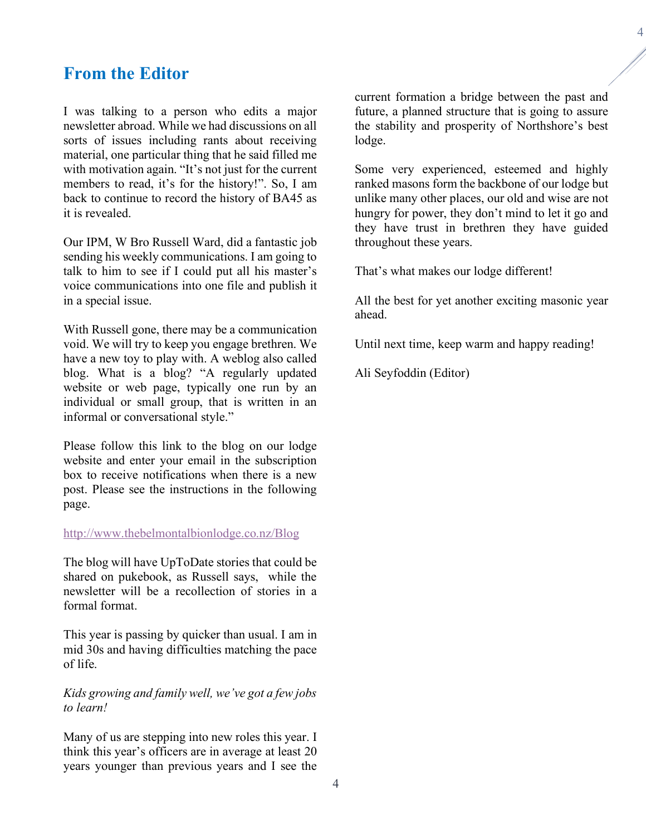## **From the Editor**

I was talking to a person who edits a major newsletter abroad. While we had discussions on all sorts of issues including rants about receiving material, one particular thing that he said filled me with motivation again. "It's not just for the current members to read, it's for the history!". So, I am back to continue to record the history of BA45 as it is revealed.

Our IPM, W Bro Russell Ward, did a fantastic job sending his weekly communications. I am going to talk to him to see if I could put all his master's voice communications into one file and publish it in a special issue.

With Russell gone, there may be a communication void. We will try to keep you engage brethren. We have a new toy to play with. A weblog also called blog. What is a blog? "A regularly updated website or web page, typically one run by an individual or small group, that is written in an informal or conversational style."

Please follow this link to the blog on our lodge website and enter your email in the subscription box to receive notifications when there is a new post. Please see the instructions in the following page.

#### http://www.thebelmontalbionlodge.co.nz/Blog

The blog will have UpToDate stories that could be shared on pukebook, as Russell says, while the newsletter will be a recollection of stories in a formal format.

This year is passing by quicker than usual. I am in mid 30s and having difficulties matching the pace of life.

#### *Kids growing and family well, we've got a few jobs to learn!*

Many of us are stepping into new roles this year. I think this year's officers are in average at least 20 years younger than previous years and I see the current formation a bridge between the past and future, a planned structure that is going to assure the stability and prosperity of Northshore's best lodge.

Some very experienced, esteemed and highly ranked masons form the backbone of our lodge but unlike many other places, our old and wise are not hungry for power, they don't mind to let it go and they have trust in brethren they have guided throughout these years.

That's what makes our lodge different!

All the best for yet another exciting masonic year ahead.

Until next time, keep warm and happy reading!

Ali Seyfoddin (Editor)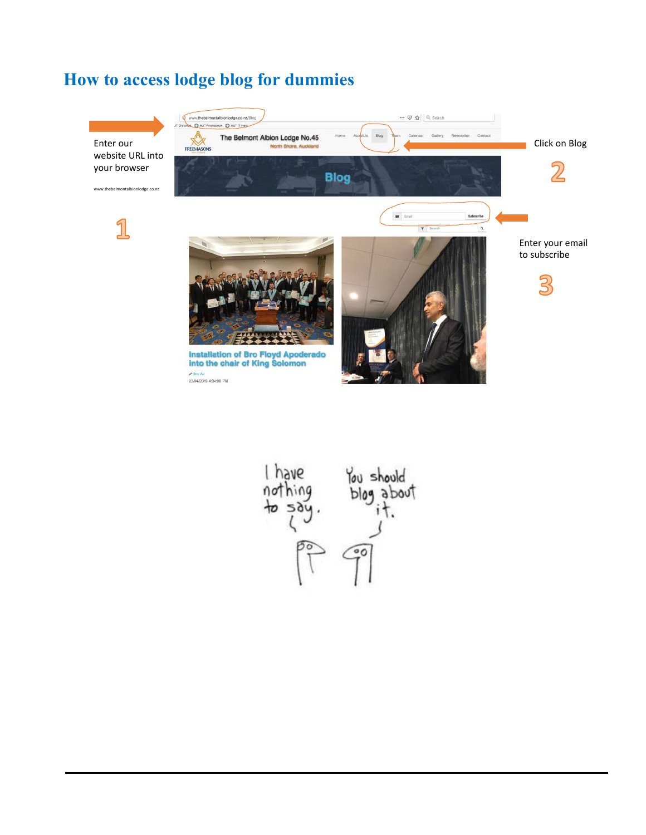## **How to access lodge blog for dummies**



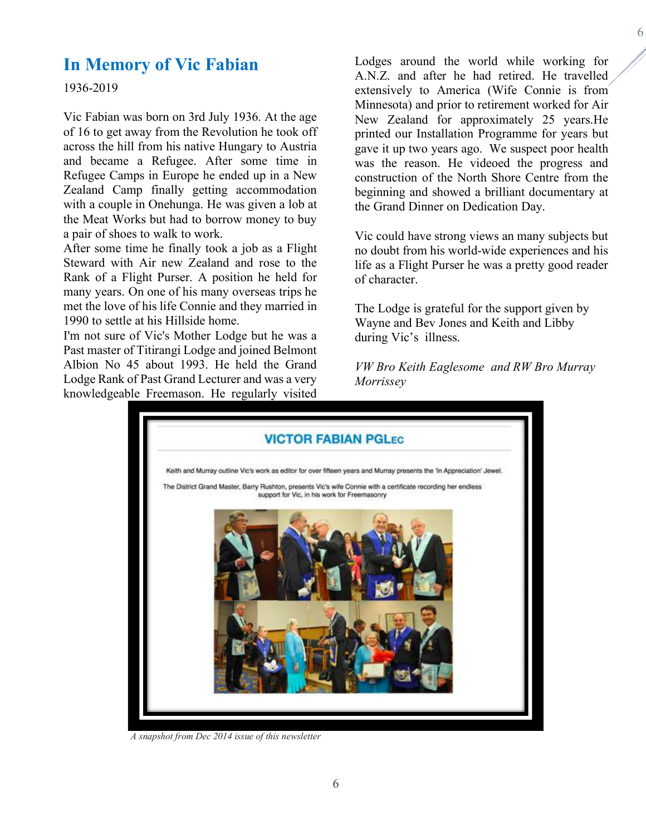## **In Memory of Vic Fabian**

1936-2019

Vic Fabian was born on 3rd July 1936. At the age of 16 to get away from the Revolution he took off across the hill from his native Hungary to Austria and became a Refugee. After some time in Refugee Camps in Europe he ended up in a New Zealand Camp finally getting accommodation with a couple in Onehunga. He was given a lob at the Meat Works but had to borrow money to buy a pair of shoes to walk to work.

After some time he finally took a job as a Flight Steward with Air new Zealand and rose to the Rank of a Flight Purser. A position he held for many years. On one of his many overseas trips he met the love of his life Connie and they married in 1990 to settle at his Hillside home.

I'm not sure of Vic's Mother Lodge but he was a Past master of Titirangi Lodge and joined Belmont Albion No 45 about 1993. He held the Grand Lodge Rank of Past Grand Lecturer and was a very knowledgeable Freemason. He regularly visited

Lodges around the world while working for A.N.Z. and after he had retired. He travelled extensively to America (Wife Connie is from Minnesota) and prior to retirement worked for Air New Zealand for approximately 25 years.He printed our Installation Programme for years but gave it up two years ago. We suspect poor health was the reason. He videoed the progress and construction of the North Shore Centre from the beginning and showed a brilliant documentary at the Grand Dinner on Dedication Day.

Vic could have strong views an many subjects but no doubt from his world-wide experiences and his life as a Flight Purser he was a pretty good reader of character.

The Lodge is grateful for the support given by Wayne and Bev Jones and Keith and Libby during Vic's illness.

*VW Bro Keith Eaglesome and RW Bro Murray Morrissey* 



*A snapshot from Dec 2014 issue of this newsletter*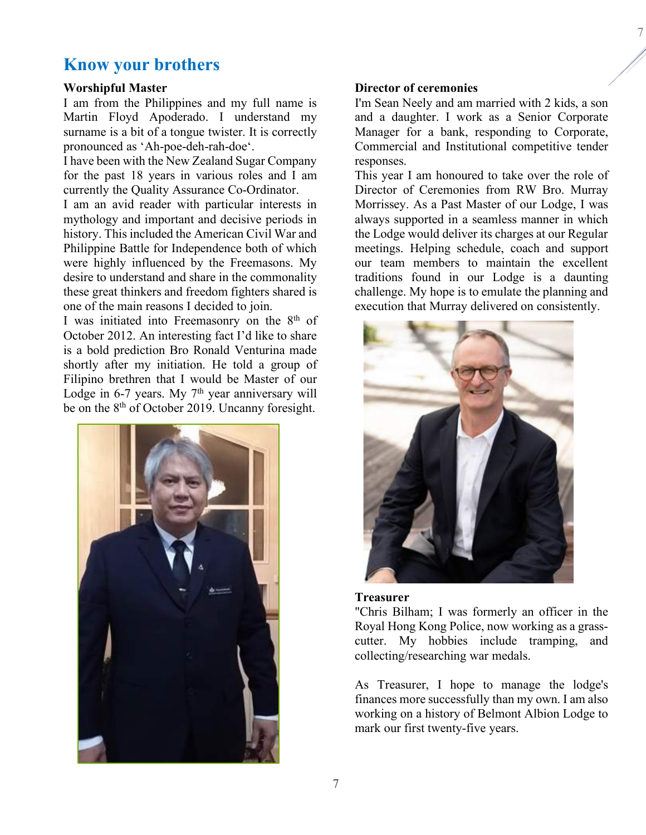#### 7

## **Know your brothers**

#### **Worshipful Master**

I am from the Philippines and my full name is Martin Floyd Apoderado. I understand my surname is a bit of a tongue twister. It is correctly pronounced as 'Ah-poe-deh-rah-doe'.

I have been with the New Zealand Sugar Company for the past 18 years in various roles and I am currently the Quality Assurance Co-Ordinator.

I am an avid reader with particular interests in mythology and important and decisive periods in history. This included the American Civil War and Philippine Battle for Independence both of which were highly influenced by the Freemasons. My desire to understand and share in the commonality these great thinkers and freedom fighters shared is one of the main reasons I decided to join.

I was initiated into Freemasonry on the 8<sup>th</sup> of October 2012. An interesting fact I'd like to share is a bold prediction Bro Ronald Venturina made shortly after my initiation. He told a group of Filipino brethren that I would be Master of our Lodge in 6-7 years. My  $7<sup>th</sup>$  year anniversary will be on the 8<sup>th</sup> of October 2019. Uncanny foresight.



#### **Director of ceremonies**

I'm Sean Neely and am married with 2 kids, a son and a daughter. I work as a Senior Corporate Manager for a bank, responding to Corporate, Commercial and Institutional competitive tender responses.

This year I am honoured to take over the role of Director of Ceremonies from RW Bro. Murray Morrissey. As a Past Master of our Lodge, I was always supported in a seamless manner in which the Lodge would deliver its charges at our Regular meetings. Helping schedule, coach and support our team members to maintain the excellent traditions found in our Lodge is a daunting challenge. My hope is to emulate the planning and execution that Murray delivered on consistently.



#### **Treasurer**

"Chris Bilham; I was formerly an officer in the Royal Hong Kong Police, now working as a grasscutter. My hobbies include tramping, and collecting/researching war medals.

As Treasurer, I hope to manage the lodge's finances more successfully than my own. I am also working on a history of Belmont Albion Lodge to mark our first twenty-five years.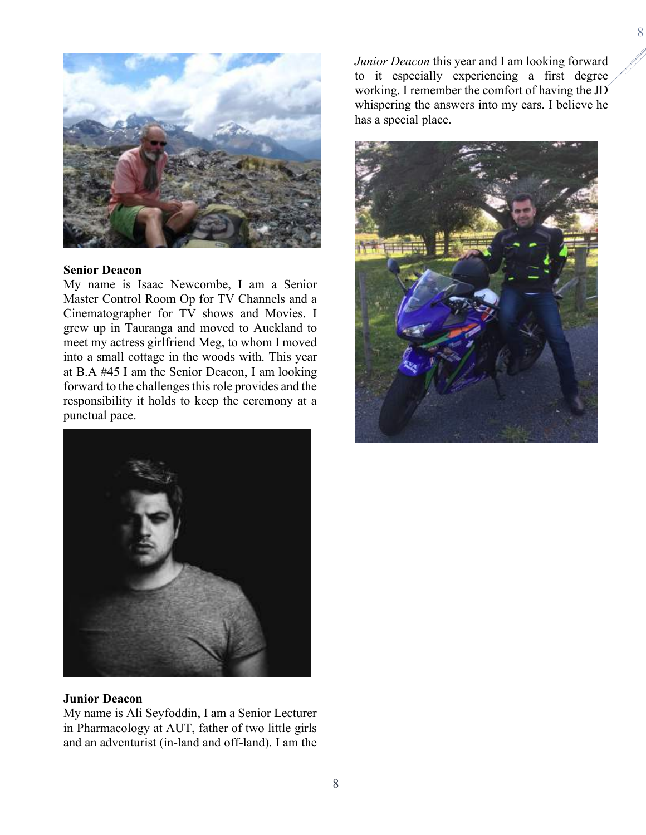

#### **Senior Deacon**

My name is Isaac Newcombe, I am a Senior Master Control Room Op for TV Channels and a Cinematographer for TV shows and Movies. I grew up in Tauranga and moved to Auckland to meet my actress girlfriend Meg, to whom I moved into a small cottage in the woods with. This year at B.A #45 I am the Senior Deacon, I am looking forward to the challenges this role provides and the responsibility it holds to keep the ceremony at a punctual pace.



#### **Junior Deacon**

My name is Ali Seyfoddin, I am a Senior Lecturer in Pharmacology at AUT, father of two little girls and an adventurist (in-land and off-land). I am the

*Junior Deacon* this year and I am looking forward to it especially experiencing a first degree working. I remember the comfort of having the JD whispering the answers into my ears. I believe he has a special place.

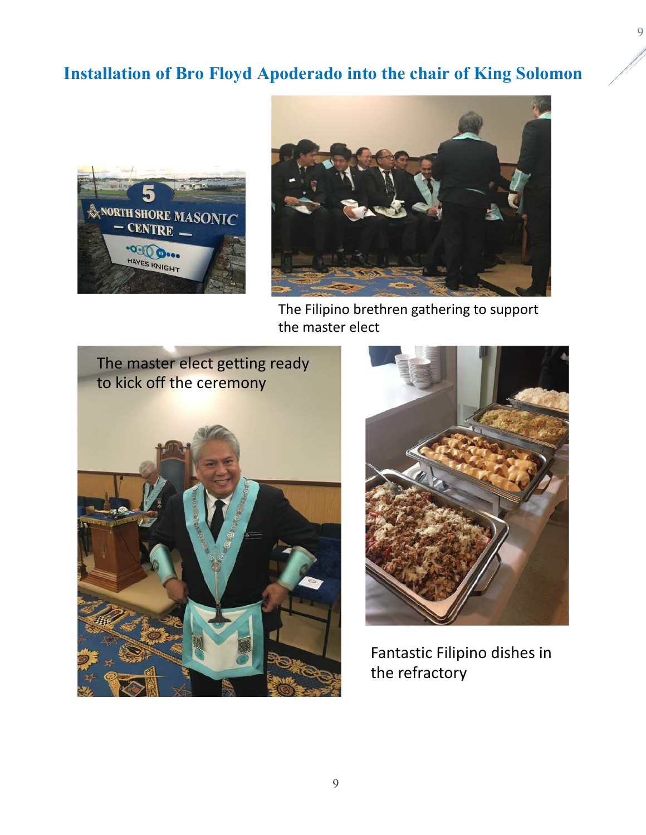## **Installation of Bro Floyd Apoderado into the chair of King Solomon**





The Filipino brethren gathering to support the master elect





Fantastic Filipino dishes in the refractory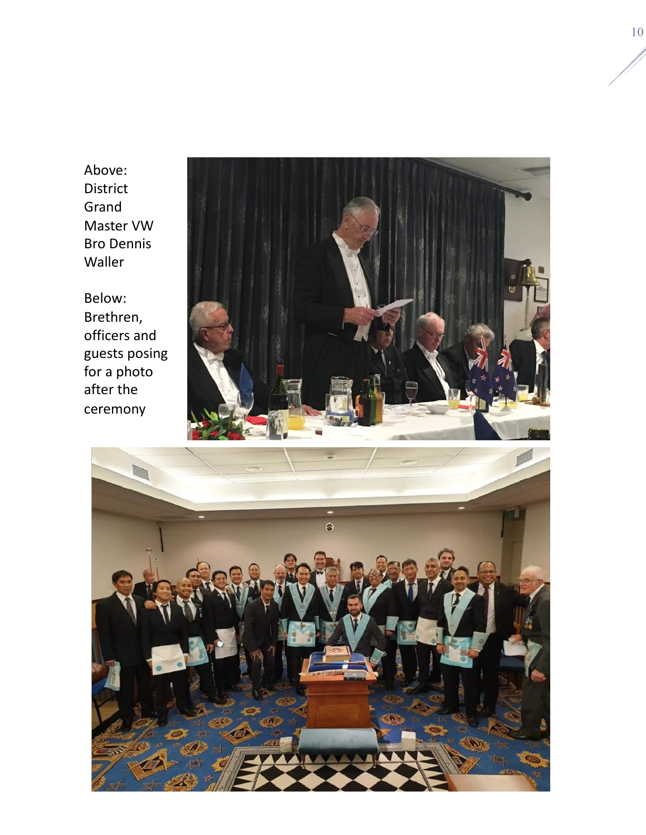Above: District Grand Master VW Bro Dennis Waller

Below: Brethren, officers and guests posing for a photo after the ceremony



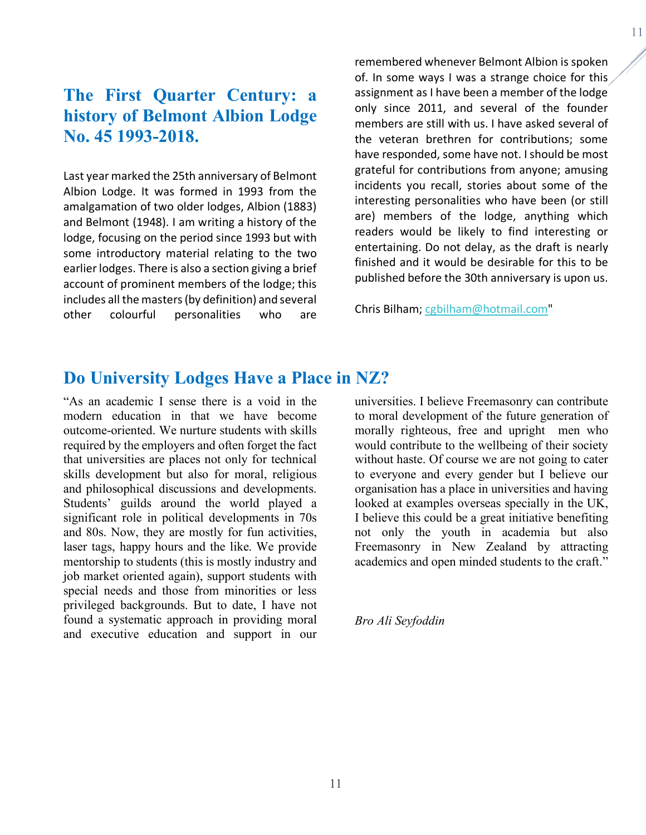## **The First Quarter Century: a history of Belmont Albion Lodge No. 45 1993-2018.**

Last year marked the 25th anniversary of Belmont Albion Lodge. It was formed in 1993 from the amalgamation of two older lodges, Albion (1883) and Belmont (1948). I am writing a history of the lodge, focusing on the period since 1993 but with some introductory material relating to the two earlier lodges. There is also a section giving a brief account of prominent members of the lodge; this includes all the masters (by definition) and several other colourful personalities who are remembered whenever Belmont Albion is spoken of. In some ways I was a strange choice for this assignment as I have been a member of the lodge only since 2011, and several of the founder members are still with us. I have asked several of the veteran brethren for contributions; some have responded, some have not. I should be most grateful for contributions from anyone; amusing incidents you recall, stories about some of the interesting personalities who have been (or still are) members of the lodge, anything which readers would be likely to find interesting or entertaining. Do not delay, as the draft is nearly finished and it would be desirable for this to be published before the 30th anniversary is upon us.

Chris Bilham; cgbilham@hotmail.com"

### **Do University Lodges Have a Place in NZ?**

"As an academic I sense there is a void in the modern education in that we have become outcome-oriented. We nurture students with skills required by the employers and often forget the fact that universities are places not only for technical skills development but also for moral, religious and philosophical discussions and developments. Students' guilds around the world played a significant role in political developments in 70s and 80s. Now, they are mostly for fun activities, laser tags, happy hours and the like. We provide mentorship to students (this is mostly industry and job market oriented again), support students with special needs and those from minorities or less privileged backgrounds. But to date, I have not found a systematic approach in providing moral and executive education and support in our

universities. I believe Freemasonry can contribute to moral development of the future generation of morally righteous, free and upright men who would contribute to the wellbeing of their society without haste. Of course we are not going to cater to everyone and every gender but I believe our organisation has a place in universities and having looked at examples overseas specially in the UK, I believe this could be a great initiative benefiting not only the youth in academia but also Freemasonry in New Zealand by attracting academics and open minded students to the craft."

*Bro Ali Seyfoddin*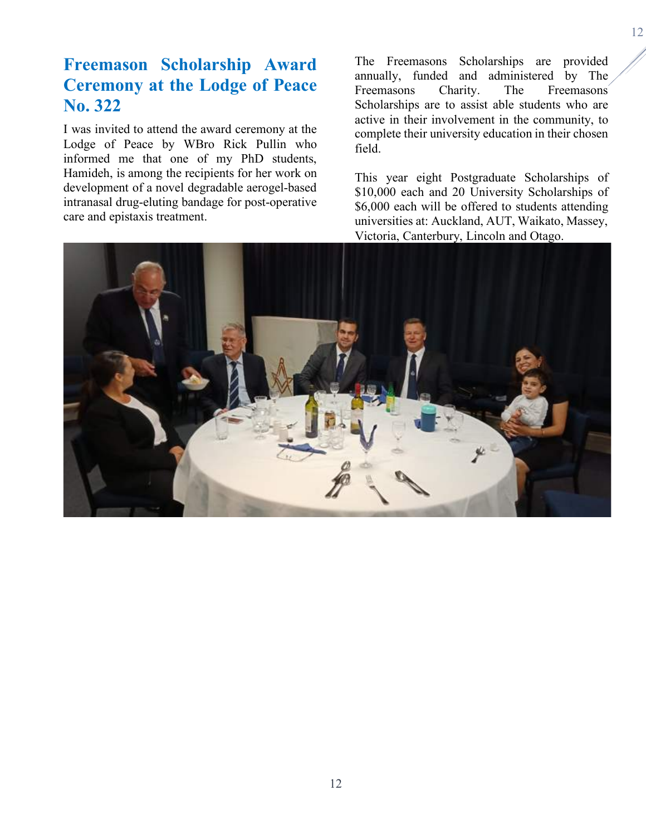## **Freemason Scholarship Award Ceremony at the Lodge of Peace No. 322**

I was invited to attend the award ceremony at the Lodge of Peace by WBro Rick Pullin who informed me that one of my PhD students, Hamideh, is among the recipients for her work on development of a novel degradable aerogel-based intranasal drug-eluting bandage for post-operative care and epistaxis treatment.

The Freemasons Scholarships are provided annually, funded and administered by The Freemasons Charity. The Freemasons Scholarships are to assist able students who are active in their involvement in the community, to complete their university education in their chosen field.

This year eight Postgraduate Scholarships of \$10,000 each and 20 University Scholarships of \$6,000 each will be offered to students attending universities at: Auckland, AUT, Waikato, Massey, Victoria, Canterbury, Lincoln and Otago.